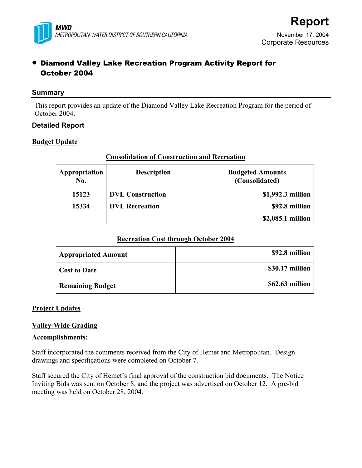

# • Diamond Valley Lake Recreation Program Activity Report for October 2004

## **Summary**

This report provides an update of the Diamond Valley Lake Recreation Program for the period of October 2004.

# **Detailed Report**

# **Budget Update**

# **Consolidation of Construction and Recreation**

| Appropriation<br>No. | <b>Description</b>      | <b>Budgeted Amounts</b><br>(Consolidated) |
|----------------------|-------------------------|-------------------------------------------|
| 15123                | <b>DVL</b> Construction | \$1,992.3 million                         |
| 15334                | <b>DVL</b> Recreation   | \$92.8 million                            |
|                      |                         | \$2,085.1 million                         |

# **Recreation Cost through October 2004**

| <b>Appropriated Amount</b> | \$92.8 million  |
|----------------------------|-----------------|
| <b>Cost to Date</b>        | \$30.17 million |
| <b>Remaining Budget</b>    | \$62.63 million |

# **Project Updates**

# **Valley-Wide Grading**

## **Accomplishments:**

Staff incorporated the comments received from the City of Hemet and Metropolitan. Design drawings and specifications were completed on October 7.

Staff secured the City of Hemet's final approval of the construction bid documents. The Notice Inviting Bids was sent on October 8, and the project was advertised on October 12. A pre-bid meeting was held on October 28, 2004.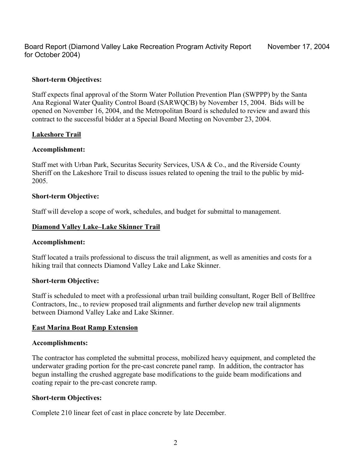Board Report (Diamond Valley Lake Recreation Program Activity Report for October 2004)

### **Short-term Objectives:**

Staff expects final approval of the Storm Water Pollution Prevention Plan (SWPPP) by the Santa Ana Regional Water Quality Control Board (SARWQCB) by November 15, 2004. Bids will be opened on November 16, 2004, and the Metropolitan Board is scheduled to review and award this contract to the successful bidder at a Special Board Meeting on November 23, 2004.

## **Lakeshore Trail**

### **Accomplishment:**

Staff met with Urban Park, Securitas Security Services, USA & Co., and the Riverside County Sheriff on the Lakeshore Trail to discuss issues related to opening the trail to the public by mid-2005.

### **Short-term Objective:**

Staff will develop a scope of work, schedules, and budget for submittal to management.

### **Diamond Valley Lake–Lake Skinner Trail**

### **Accomplishment:**

Staff located a trails professional to discuss the trail alignment, as well as amenities and costs for a hiking trail that connects Diamond Valley Lake and Lake Skinner.

## **Short-term Objective:**

Staff is scheduled to meet with a professional urban trail building consultant, Roger Bell of Bellfree Contractors, Inc., to review proposed trail alignments and further develop new trail alignments between Diamond Valley Lake and Lake Skinner.

### **East Marina Boat Ramp Extension**

### **Accomplishments:**

The contractor has completed the submittal process, mobilized heavy equipment, and completed the underwater grading portion for the pre-cast concrete panel ramp. In addition, the contractor has begun installing the crushed aggregate base modifications to the guide beam modifications and coating repair to the pre-cast concrete ramp.

## **Short-term Objectives:**

Complete 210 linear feet of cast in place concrete by late December.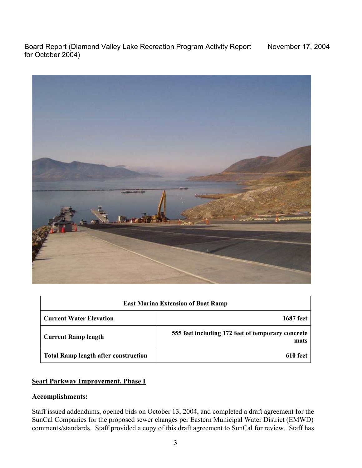Board Report (Diamond Valley Lake Recreation Program Activity Report for October 2004)



| <b>East Marina Extension of Boat Ramp</b>   |                                                           |  |
|---------------------------------------------|-----------------------------------------------------------|--|
| <b>Current Water Elevation</b>              | <b>1687</b> feet                                          |  |
| <b>Current Ramp length</b>                  | 555 feet including 172 feet of temporary concrete<br>mats |  |
| <b>Total Ramp length after construction</b> | 610 feet                                                  |  |

# **Searl Parkway Improvement, Phase I**

# **Accomplishments:**

Staff issued addendums, opened bids on October 13, 2004, and completed a draft agreement for the SunCal Companies for the proposed sewer changes per Eastern Municipal Water District (EMWD) comments/standards. Staff provided a copy of this draft agreement to SunCal for review. Staff has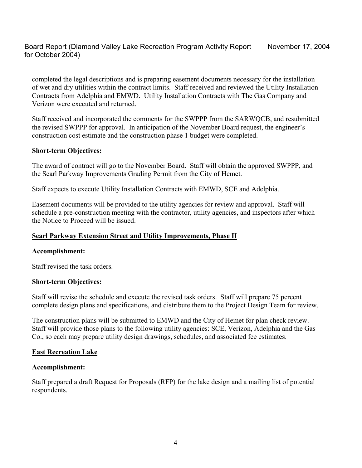completed the legal descriptions and is preparing easement documents necessary for the installation of wet and dry utilities within the contract limits. Staff received and reviewed the Utility Installation Contracts from Adelphia and EMWD. Utility Installation Contracts with The Gas Company and Verizon were executed and returned.

Staff received and incorporated the comments for the SWPPP from the SARWQCB, and resubmitted the revised SWPPP for approval. In anticipation of the November Board request, the engineer's construction cost estimate and the construction phase 1 budget were completed.

## **Short-term Objectives:**

The award of contract will go to the November Board. Staff will obtain the approved SWPPP, and the Searl Parkway Improvements Grading Permit from the City of Hemet.

Staff expects to execute Utility Installation Contracts with EMWD, SCE and Adelphia.

Easement documents will be provided to the utility agencies for review and approval. Staff will schedule a pre-construction meeting with the contractor, utility agencies, and inspectors after which the Notice to Proceed will be issued.

## **Searl Parkway Extension Street and Utility Improvements, Phase II**

### **Accomplishment:**

Staff revised the task orders.

### **Short-term Objectives:**

Staff will revise the schedule and execute the revised task orders. Staff will prepare 75 percent complete design plans and specifications, and distribute them to the Project Design Team for review.

The construction plans will be submitted to EMWD and the City of Hemet for plan check review. Staff will provide those plans to the following utility agencies: SCE, Verizon, Adelphia and the Gas Co., so each may prepare utility design drawings, schedules, and associated fee estimates.

## **East Recreation Lake**

## **Accomplishment:**

Staff prepared a draft Request for Proposals (RFP) for the lake design and a mailing list of potential respondents.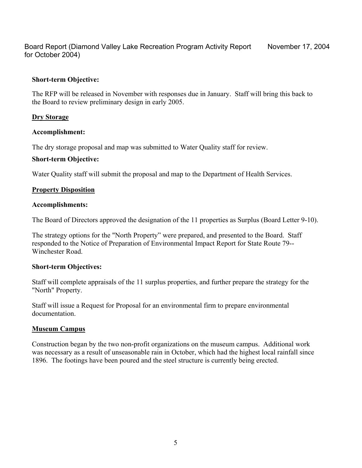Board Report (Diamond Valley Lake Recreation Program Activity Report for October 2004) November 17, 2004

# **Short-term Objective:**

The RFP will be released in November with responses due in January. Staff will bring this back to the Board to review preliminary design in early 2005.

# **Dry Storage**

# **Accomplishment:**

The dry storage proposal and map was submitted to Water Quality staff for review.

# **Short-term Objective:**

Water Quality staff will submit the proposal and map to the Department of Health Services.

# **Property Disposition**

## **Accomplishments:**

The Board of Directors approved the designation of the 11 properties as Surplus (Board Letter 9-10).

The strategy options for the "North Property" were prepared, and presented to the Board. Staff responded to the Notice of Preparation of Environmental Impact Report for State Route 79-- Winchester Road.

## **Short-term Objectives:**

Staff will complete appraisals of the 11 surplus properties, and further prepare the strategy for the "North" Property.

Staff will issue a Request for Proposal for an environmental firm to prepare environmental documentation.

## **Museum Campus**

Construction began by the two non-profit organizations on the museum campus. Additional work was necessary as a result of unseasonable rain in October, which had the highest local rainfall since 1896. The footings have been poured and the steel structure is currently being erected.